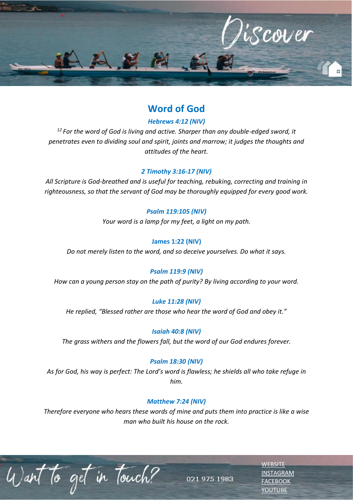

# **Word of God**

### *Hebrews 4:12 (NIV)*

*<sup>12</sup>For the word of God is living and active. Sharper than any double-edged sword, it penetrates even to dividing soul and spirit, joints and marrow; it judges the thoughts and attitudes of the heart.*

### *[2 Timothy 3:16-17](https://dailyverses.net/2-timothy/3/16-17) (NIV)*

*All Scripture is God-breathed and is useful for teaching, rebuking, correcting and training in righteousness, so that the servant of God may be thoroughly equipped for every good work.*

## *[Psalm 119:105](https://dailyverses.net/psalms/119/105) (NIV)*

*Your word is a lamp for my feet, a light on my path.*

### **[James 1:22](https://dailyverses.net/james/1/22) (NIV)**

*Do not merely listen to the word, and so deceive yourselves. Do what it says.*

### *[Psalm 119:9](https://dailyverses.net/psalms/119/9) (NIV)*

*How can a young person stay on the path of purity? By living according to your word.*

### *[Luke 11:28](https://dailyverses.net/luke/11/28) (NIV)*

*He replied, "Blessed rather are those who hear the word of God and obey it."*

*[Isaiah 40:8](https://dailyverses.net/isaiah/40/8) (NIV)*

*The grass withers and the flowers fall, but the word of our God endures forever.*

### *[Psalm 18:30](https://dailyverses.net/psalms/18/30) (NIV)*

*As for God, his way is perfect: The Lord's word is flawless; he shields all who take refuge in him.*

### *[Matthew 7:24](https://dailyverses.net/matthew/7/24) (NIV)*

*Therefore everyone who hears these words of mine and puts them into practice is like a wise man who built his house on the rock.*

to get in Touch?

[INSTAGRAM](https://www.instagram.com/esccdurbanville/) [FACEBOOK](https://www.facebook.com/escc.za) [YOUTUBE](https://www.youtube.com/c/ESCCDurbanvilleV)

**[WEBSITE](http://www.escc.co.za/)** 

021 975 1983